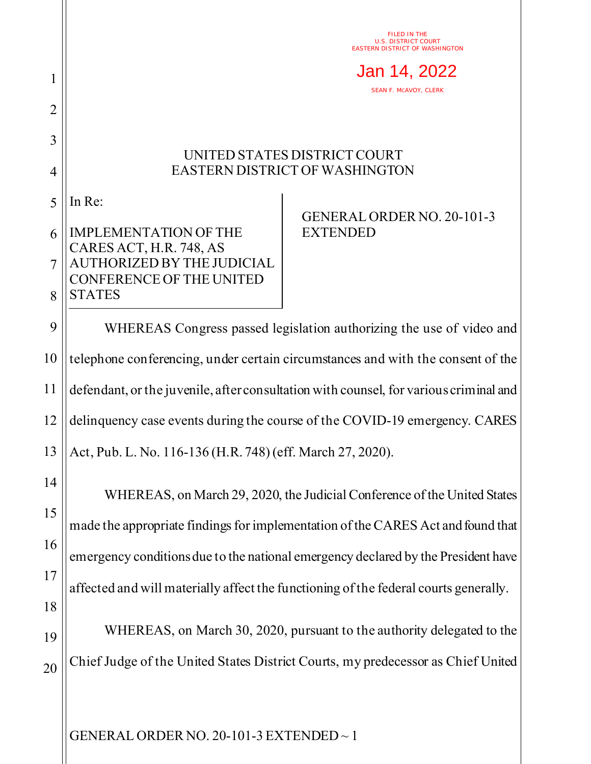FILED IN THE U.S. DISTRICT COURT EASTERN DISTRICT OF WASHINGTON

Jan 14, 2022

SEAN F. MCAVOY, CLERK

## UNITED STATES DISTRICT COURT EASTERN DISTRICT OF WASHINGTON

5 In Re:

1

2

3

4

## 6 7 8 IMPLEMENTATION OF THE CARES ACT, H.R. 748, AS AUTHORIZED BY THE JUDICIAL CONFERENCE OF THE UNITED **STATES**

## GENERAL ORDER NO. 20-101-3 **EXTENDED**

9 10 11 12 13 WHEREAS Congress passed legislation authorizing the use of video and telephone conferencing, under certain circumstances and with the consent of the defendant, or the juvenile, after consultation with counsel, for various criminal and delinquency case events during the course of the COVID-19 emergency. CARES Act, Pub. L. No. 116-136 (H.R. 748) (eff. March 27, 2020).

14 15 16 17 18 19 WHEREAS, on March 29, 2020, the Judicial Conference of the United States made the appropriate findings for implementation of the CARES Act and found that emergency conditions due to the national emergency declared by the President have affected and will materially affect the functioning of the federal courts generally. WHEREAS, on March 30, 2020, pursuant to the authority delegated to the

20 Chief Judge of the United States District Courts, my predecessor as Chief United

GENERAL ORDER NO. 20-101-3 EXTENDED ~ 1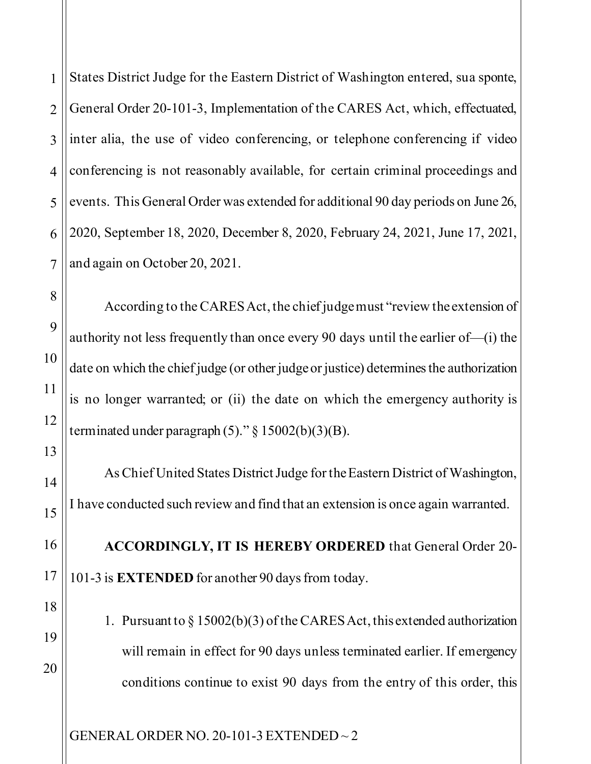1 2 3 4 5 6 States District Judge for the Eastern District of Washington entered, sua sponte, General Order 20-101-3, Implementation of the CARES Act, which, effectuated, inter alia, the use of video conferencing, or telephone conferencing if video conferencing is not reasonably available, for certain criminal proceedings and events. This General Order was extended for additional 90 day periods on June 26, 2020, September 18, 2020, December 8, 2020, February 24, 2021, June 17, 2021, and again on October 20, 2021.

According to the CARES Act, the chief judge must "review the extension of authority not less frequently than once every 90 days until the earlier of—(i) the date on which the chief judge (or other judge or justice) determines the authorization is no longer warranted; or (ii) the date on which the emergency authority is terminated under paragraph  $(5)$ ." § 15002(b)(3)(B).

As Chief United States District Judge for the Eastern District of Washington, I have conducted such review and find that an extension is once again warranted.

**ACCORDINGLY, IT IS HEREBY ORDERED** that General Order 20- 101-3 is **EXTENDED** for another 90 days from today.

1. Pursuant to § 15002(b)(3) of the CARES Act, this extended authorization will remain in effect for 90 days unless terminated earlier. If emergency conditions continue to exist 90 days from the entry of this order, this

GENERAL ORDER NO. 20-101-3 EXTENDED ~ 2